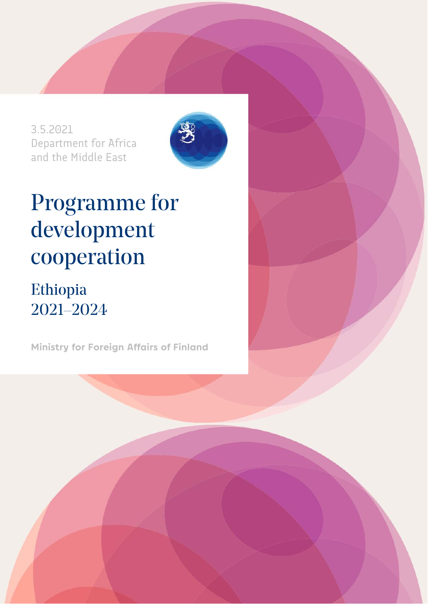3.5.2021 Department for Africa and the Middle East



# Programme for development cooperation

## Ethiopia 2021–2024

**Ministry for Foreign Affairs of Finland**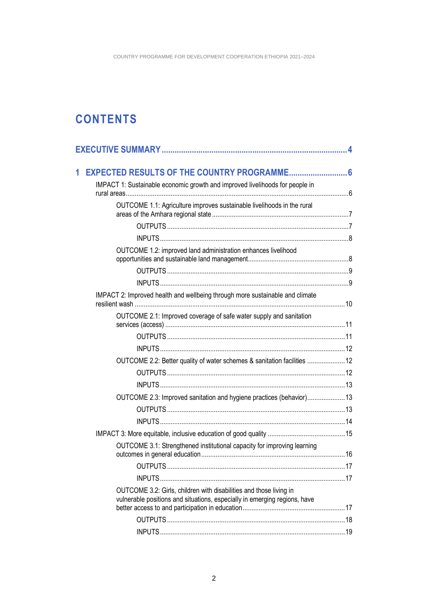### **CONTENTS**

| 1 |                                                                                                                                                 |  |
|---|-------------------------------------------------------------------------------------------------------------------------------------------------|--|
|   | IMPACT 1: Sustainable economic growth and improved livelihoods for people in                                                                    |  |
|   | OUTCOME 1.1: Agriculture improves sustainable livelihoods in the rural                                                                          |  |
|   |                                                                                                                                                 |  |
|   |                                                                                                                                                 |  |
|   | OUTCOME 1.2: improved land administration enhances livelihood                                                                                   |  |
|   |                                                                                                                                                 |  |
|   |                                                                                                                                                 |  |
|   | IMPACT 2: Improved health and wellbeing through more sustainable and climate                                                                    |  |
|   | OUTCOME 2.1: Improved coverage of safe water supply and sanitation                                                                              |  |
|   |                                                                                                                                                 |  |
|   |                                                                                                                                                 |  |
|   | OUTCOME 2.2: Better quality of water schemes & sanitation facilities  12                                                                        |  |
|   |                                                                                                                                                 |  |
|   |                                                                                                                                                 |  |
|   | OUTCOME 2.3: Improved sanitation and hygiene practices (behavior) 13                                                                            |  |
|   |                                                                                                                                                 |  |
|   |                                                                                                                                                 |  |
|   |                                                                                                                                                 |  |
|   | OUTCOME 3.1: Strengthened institutional capacity for improving learning                                                                         |  |
|   |                                                                                                                                                 |  |
|   |                                                                                                                                                 |  |
|   | OUTCOME 3.2: Girls, children with disabilities and those living in<br>vulnerable positions and situations, especially in emerging regions, have |  |
|   |                                                                                                                                                 |  |
|   |                                                                                                                                                 |  |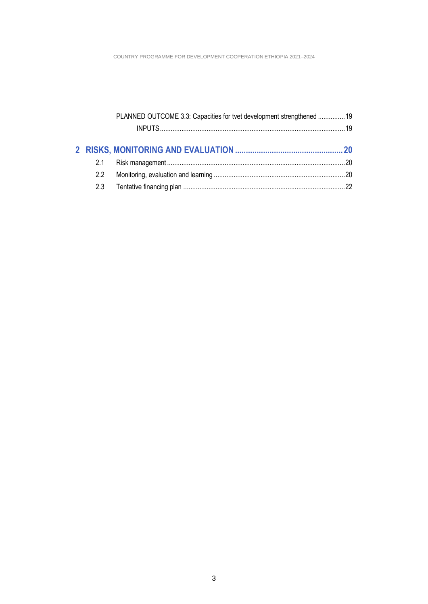|               | PLANNED OUTCOME 3.3: Capacities for tvet development strengthened  19 |  |
|---------------|-----------------------------------------------------------------------|--|
|               |                                                                       |  |
|               |                                                                       |  |
| 2.1           |                                                                       |  |
| $2.2^{\circ}$ |                                                                       |  |
|               |                                                                       |  |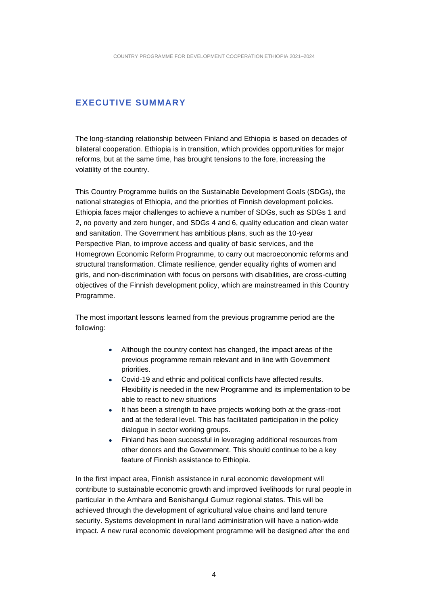### <span id="page-3-0"></span>**EXECUTIVE SUMMARY**

The long-standing relationship between Finland and Ethiopia is based on decades of bilateral cooperation. Ethiopia is in transition, which provides opportunities for major reforms, but at the same time, has brought tensions to the fore, increasing the volatility of the country.

This Country Programme builds on the Sustainable Development Goals (SDGs), the national strategies of Ethiopia, and the priorities of Finnish development policies. Ethiopia faces major challenges to achieve a number of SDGs, such as SDGs 1 and 2, no poverty and zero hunger, and SDGs 4 and 6, quality education and clean water and sanitation. The Government has ambitious plans, such as the 10-year Perspective Plan, to improve access and quality of basic services, and the Homegrown Economic Reform Programme, to carry out macroeconomic reforms and structural transformation. Climate resilience, gender equality rights of women and girls, and non-discrimination with focus on persons with disabilities, are cross-cutting objectives of the Finnish development policy, which are mainstreamed in this Country Programme.

The most important lessons learned from the previous programme period are the following:

- Although the country context has changed, the impact areas of the previous programme remain relevant and in line with Government priorities.
- Covid-19 and ethnic and political conflicts have affected results. Flexibility is needed in the new Programme and its implementation to be able to react to new situations
- It has been a strength to have projects working both at the grass-root and at the federal level. This has facilitated participation in the policy dialogue in sector working groups.
- Finland has been successful in leveraging additional resources from other donors and the Government. This should continue to be a key feature of Finnish assistance to Ethiopia.

In the first impact area, Finnish assistance in rural economic development will contribute to sustainable economic growth and improved livelihoods for rural people in particular in the Amhara and Benishangul Gumuz regional states. This will be achieved through the development of agricultural value chains and land tenure security. Systems development in rural land administration will have a nation-wide impact. A new rural economic development programme will be designed after the end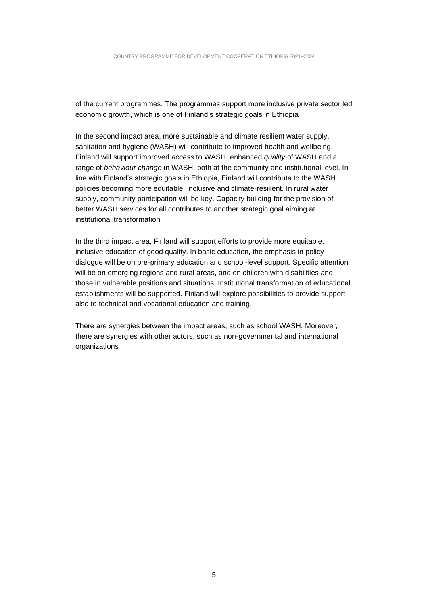of the current programmes. The programmes support more inclusive private sector led economic growth, which is one of Finland's strategic goals in Ethiopia

In the second impact area, more sustainable and climate resilient water supply, sanitation and hygiene (WASH) will contribute to improved health and wellbeing. Finland will support improved *access* to WASH, enhanced *quality* of WASH and a range of *behaviour change* in WASH, both at the community and institutional level. In line with Finland's strategic goals in Ethiopia, Finland will contribute to the WASH policies becoming more equitable, inclusive and climate-resilient. In rural water supply, community participation will be key. Capacity building for the provision of better WASH services for all contributes to another strategic goal aiming at institutional transformation

In the third impact area, Finland will support efforts to provide more equitable, inclusive education of good quality. In basic education, the emphasis in policy dialogue will be on pre-primary education and school-level support. Specific attention will be on emerging regions and rural areas, and on children with disabilities and those in vulnerable positions and situations. Institutional transformation of educational establishments will be supported. Finland will explore possibilities to provide support also to technical and vocational education and training.

There are synergies between the impact areas, such as school WASH. Moreover, there are synergies with other actors, such as non-governmental and international organizations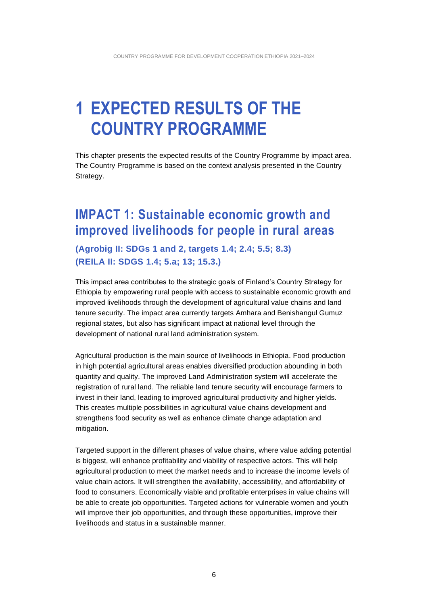## <span id="page-5-0"></span>**1 EXPECTED RESULTS OF THE COUNTRY PROGRAMME**

This chapter presents the expected results of the Country Programme by impact area. The Country Programme is based on the context analysis presented in the Country Strategy.

### <span id="page-5-1"></span>**IMPACT 1: Sustainable economic growth and improved livelihoods for people in rural areas**

**(Agrobig II: SDGs 1 and 2, targets 1.4; 2.4; 5.5; 8.3) (REILA II: SDGS 1.4; 5.a; 13; 15.3.)** 

This impact area contributes to the strategic goals of Finland's Country Strategy for Ethiopia by empowering rural people with access to sustainable economic growth and improved livelihoods through the development of agricultural value chains and land tenure security. The impact area currently targets Amhara and Benishangul Gumuz regional states, but also has significant impact at national level through the development of national rural land administration system.

Agricultural production is the main source of livelihoods in Ethiopia. Food production in high potential agricultural areas enables diversified production abounding in both quantity and quality. The improved Land Administration system will accelerate the registration of rural land. The reliable land tenure security will encourage farmers to invest in their land, leading to improved agricultural productivity and higher yields. This creates multiple possibilities in agricultural value chains development and strengthens food security as well as enhance climate change adaptation and mitigation.

Targeted support in the different phases of value chains, where value adding potential is biggest, will enhance profitability and viability of respective actors. This will help agricultural production to meet the market needs and to increase the income levels of value chain actors. It will strengthen the availability, accessibility, and affordability of food to consumers. Economically viable and profitable enterprises in value chains will be able to create job opportunities. Targeted actions for vulnerable women and youth will improve their job opportunities, and through these opportunities, improve their livelihoods and status in a sustainable manner.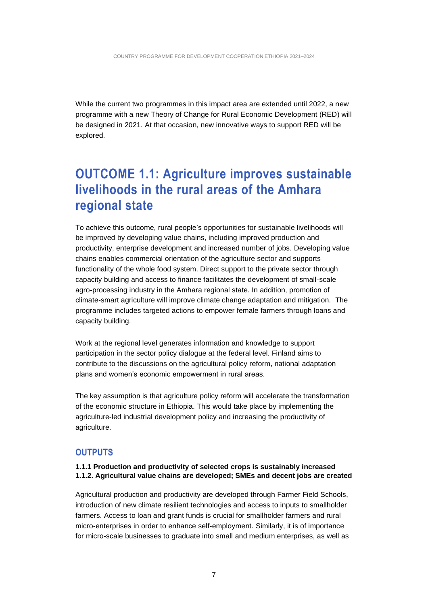While the current two programmes in this impact area are extended until 2022, a new programme with a new Theory of Change for Rural Economic Development (RED) will be designed in 2021. At that occasion, new innovative ways to support RED will be explored.

### <span id="page-6-0"></span>**OUTCOME 1.1: Agriculture improves sustainable livelihoods in the rural areas of the Amhara regional state**

To achieve this outcome, rural people's opportunities for sustainable livelihoods will be improved by developing value chains, including improved production and productivity, enterprise development and increased number of jobs. Developing value chains enables commercial orientation of the agriculture sector and supports functionality of the whole food system. Direct support to the private sector through capacity building and access to finance facilitates the development of small-scale agro-processing industry in the Amhara regional state. In addition, promotion of climate-smart agriculture will improve climate change adaptation and mitigation. The programme includes targeted actions to empower female farmers through loans and capacity building.

Work at the regional level generates information and knowledge to support participation in the sector policy dialogue at the federal level. Finland aims to contribute to the discussions on the agricultural policy reform, national adaptation plans and women's economic empowerment in rural areas.

The key assumption is that agriculture policy reform will accelerate the transformation of the economic structure in Ethiopia. This would take place by implementing the agriculture-led industrial development policy and increasing the productivity of agriculture.

### <span id="page-6-1"></span>**OUTPUTS**

#### **1.1.1 Production and productivity of selected crops is sustainably increased 1.1.2. Agricultural value chains are developed; SMEs and decent jobs are created**

Agricultural production and productivity are developed through Farmer Field Schools, introduction of new climate resilient technologies and access to inputs to smallholder farmers. Access to loan and grant funds is crucial for smallholder farmers and rural micro-enterprises in order to enhance self-employment. Similarly, it is of importance for micro-scale businesses to graduate into small and medium enterprises, as well as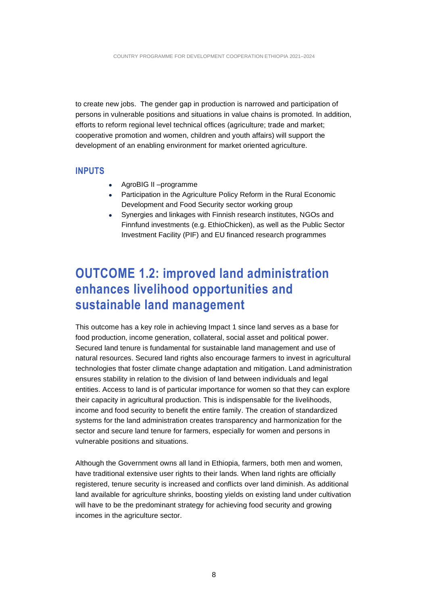to create new jobs. The gender gap in production is narrowed and participation of persons in vulnerable positions and situations in value chains is promoted. In addition, efforts to reform regional level technical offices (agriculture; trade and market; cooperative promotion and women, children and youth affairs) will support the development of an enabling environment for market oriented agriculture.

### <span id="page-7-0"></span>**INPUTS**

- AgroBIG II –programme
- Participation in the Agriculture Policy Reform in the Rural Economic Development and Food Security sector working group
- Synergies and linkages with Finnish research institutes, NGOs and Finnfund investments (e.g. EthioChicken), as well as the Public Sector Investment Facility (PIF) and EU financed research programmes

### <span id="page-7-1"></span>**OUTCOME 1.2: improved land administration enhances livelihood opportunities and sustainable land management**

This outcome has a key role in achieving Impact 1 since land serves as a base for food production, income generation, collateral, social asset and political power. Secured land tenure is fundamental for sustainable land management and use of natural resources. Secured land rights also encourage farmers to invest in agricultural technologies that foster climate change adaptation and mitigation. Land administration ensures stability in relation to the division of land between individuals and legal entities. Access to land is of particular importance for women so that they can explore their capacity in agricultural production. This is indispensable for the livelihoods, income and food security to benefit the entire family. The creation of standardized systems for the land administration creates transparency and harmonization for the sector and secure land tenure for farmers, especially for women and persons in vulnerable positions and situations.

Although the Government owns all land in Ethiopia, farmers, both men and women, have traditional extensive user rights to their lands. When land rights are officially registered, tenure security is increased and conflicts over land diminish. As additional land available for agriculture shrinks, boosting yields on existing land under cultivation will have to be the predominant strategy for achieving food security and growing incomes in the agriculture sector.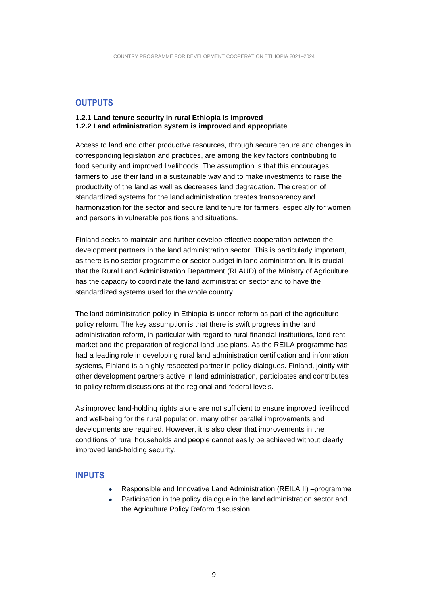### <span id="page-8-0"></span>**OUTPUTS**

#### **1.2.1 Land tenure security in rural Ethiopia is improved 1.2.2 Land administration system is improved and appropriate**

Access to land and other productive resources, through secure tenure and changes in corresponding legislation and practices, are among the key factors contributing to food security and improved livelihoods. The assumption is that this encourages farmers to use their land in a sustainable way and to make investments to raise the productivity of the land as well as decreases land degradation. The creation of standardized systems for the land administration creates transparency and harmonization for the sector and secure land tenure for farmers, especially for women and persons in vulnerable positions and situations.

Finland seeks to maintain and further develop effective cooperation between the development partners in the land administration sector. This is particularly important, as there is no sector programme or sector budget in land administration. It is crucial that the Rural Land Administration Department (RLAUD) of the Ministry of Agriculture has the capacity to coordinate the land administration sector and to have the standardized systems used for the whole country.

The land administration policy in Ethiopia is under reform as part of the agriculture policy reform. The key assumption is that there is swift progress in the land administration reform, in particular with regard to rural financial institutions, land rent market and the preparation of regional land use plans. As the REILA programme has had a leading role in developing rural land administration certification and information systems, Finland is a highly respected partner in policy dialogues. Finland, jointly with other development partners active in land administration, participates and contributes to policy reform discussions at the regional and federal levels.

As improved land-holding rights alone are not sufficient to ensure improved livelihood and well-being for the rural population, many other parallel improvements and developments are required. However, it is also clear that improvements in the conditions of rural households and people cannot easily be achieved without clearly improved land-holding security.

### <span id="page-8-1"></span>**INPUTS**

- Responsible and Innovative Land Administration (REILA II) –programme
- Participation in the policy dialogue in the land administration sector and the Agriculture Policy Reform discussion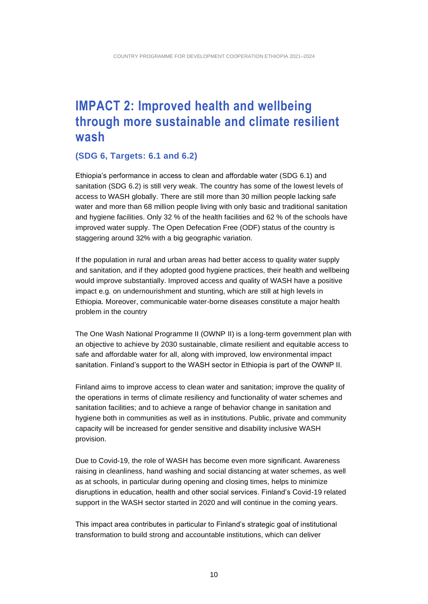### <span id="page-9-0"></span>**IMPACT 2: Improved health and wellbeing through more sustainable and climate resilient wash**

#### **(SDG 6, Targets: 6.1 and 6.2)**

Ethiopia's performance in access to clean and affordable water (SDG 6.1) and sanitation (SDG 6.2) is still very weak. The country has some of the lowest levels of access to WASH globally. There are still more than 30 million people lacking safe water and more than 68 million people living with only basic and traditional sanitation and hygiene facilities. Only 32 % of the health facilities and 62 % of the schools have improved water supply. The Open Defecation Free (ODF) status of the country is staggering around 32% with a big geographic variation.

If the population in rural and urban areas had better access to quality water supply and sanitation, and if they adopted good hygiene practices, their health and wellbeing would improve substantially. Improved access and quality of WASH have a positive impact e.g. on undernourishment and stunting, which are still at high levels in Ethiopia. Moreover, communicable water-borne diseases constitute a major health problem in the country

The One Wash National Programme II (OWNP II) is a long-term government plan with an objective to achieve by 2030 sustainable, climate resilient and equitable access to safe and affordable water for all, along with improved, low environmental impact sanitation. Finland's support to the WASH sector in Ethiopia is part of the OWNP II.

Finland aims to improve access to clean water and sanitation; improve the quality of the operations in terms of climate resiliency and functionality of water schemes and sanitation facilities; and to achieve a range of behavior change in sanitation and hygiene both in communities as well as in institutions. Public, private and community capacity will be increased for gender sensitive and disability inclusive WASH provision.

Due to Covid-19, the role of WASH has become even more significant. Awareness raising in cleanliness, hand washing and social distancing at water schemes, as well as at schools, in particular during opening and closing times, helps to minimize disruptions in education, health and other social services. Finland's Covid-19 related support in the WASH sector started in 2020 and will continue in the coming years.

This impact area contributes in particular to Finland's strategic goal of institutional transformation to build strong and accountable institutions, which can deliver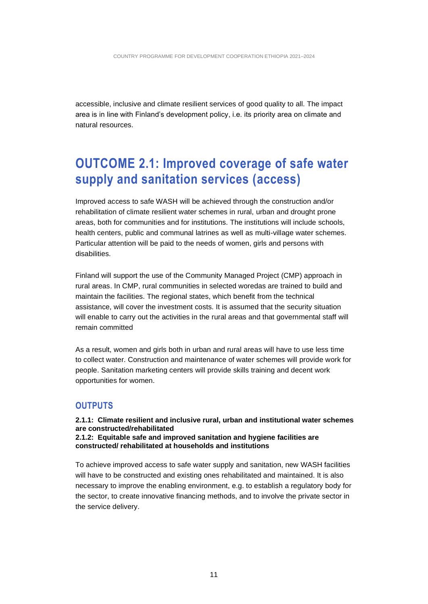accessible, inclusive and climate resilient services of good quality to all. The impact area is in line with Finland's development policy, i.e. its priority area on climate and natural resources.

### <span id="page-10-0"></span>**OUTCOME 2.1: Improved coverage of safe water supply and sanitation services (access)**

Improved access to safe WASH will be achieved through the construction and/or rehabilitation of climate resilient water schemes in rural, urban and drought prone areas, both for communities and for institutions. The institutions will include schools, health centers, public and communal latrines as well as multi-village water schemes. Particular attention will be paid to the needs of women, girls and persons with disabilities.

Finland will support the use of the Community Managed Project (CMP) approach in rural areas. In CMP, rural communities in selected woredas are trained to build and maintain the facilities. The regional states, which benefit from the technical assistance, will cover the investment costs. It is assumed that the security situation will enable to carry out the activities in the rural areas and that governmental staff will remain committed

As a result, women and girls both in urban and rural areas will have to use less time to collect water. Construction and maintenance of water schemes will provide work for people. Sanitation marketing centers will provide skills training and decent work opportunities for women.

### <span id="page-10-1"></span>**OUTPUTS**

#### **2.1.1: Climate resilient and inclusive rural, urban and institutional water schemes are constructed/rehabilitated 2.1.2: Equitable safe and improved sanitation and hygiene facilities are constructed/ rehabilitated at households and institutions**

To achieve improved access to safe water supply and sanitation, new WASH facilities will have to be constructed and existing ones rehabilitated and maintained. It is also necessary to improve the enabling environment, e.g. to establish a regulatory body for the sector, to create innovative financing methods, and to involve the private sector in the service delivery.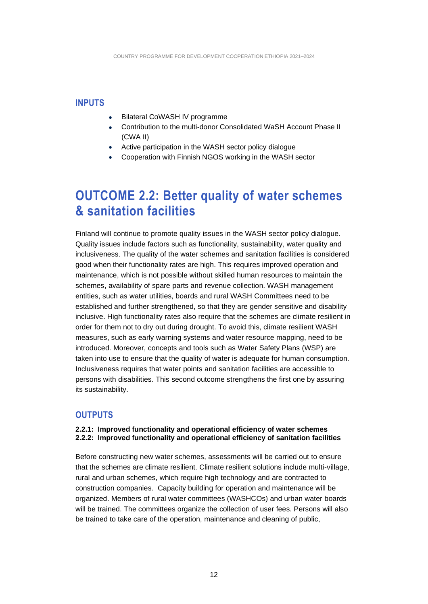#### <span id="page-11-0"></span>**INPUTS**

- **Bilateral CoWASH IV programme**
- Contribution to the multi-donor Consolidated WaSH Account Phase II (CWA II)
- Active participation in the WASH sector policy dialogue
- Cooperation with Finnish NGOS working in the WASH sector

### <span id="page-11-1"></span>**OUTCOME 2.2: Better quality of water schemes & sanitation facilities**

Finland will continue to promote quality issues in the WASH sector policy dialogue. Quality issues include factors such as functionality, sustainability, water quality and inclusiveness. The quality of the water schemes and sanitation facilities is considered good when their functionality rates are high. This requires improved operation and maintenance, which is not possible without skilled human resources to maintain the schemes, availability of spare parts and revenue collection. WASH management entities, such as water utilities, boards and rural WASH Committees need to be established and further strengthened, so that they are gender sensitive and disability inclusive. High functionality rates also require that the schemes are climate resilient in order for them not to dry out during drought. To avoid this, climate resilient WASH measures, such as early warning systems and water resource mapping, need to be introduced. Moreover, concepts and tools such as Water Safety Plans (WSP) are taken into use to ensure that the quality of water is adequate for human consumption. Inclusiveness requires that water points and sanitation facilities are accessible to persons with disabilities. This second outcome strengthens the first one by assuring its sustainability.

#### <span id="page-11-2"></span>**OUTPUTS**

#### **2.2.1: Improved functionality and operational efficiency of water schemes 2.2.2: Improved functionality and operational efficiency of sanitation facilities**

Before constructing new water schemes, assessments will be carried out to ensure that the schemes are climate resilient. Climate resilient solutions include multi-village, rural and urban schemes, which require high technology and are contracted to construction companies. Capacity building for operation and maintenance will be organized. Members of rural water committees (WASHCOs) and urban water boards will be trained. The committees organize the collection of user fees. Persons will also be trained to take care of the operation, maintenance and cleaning of public,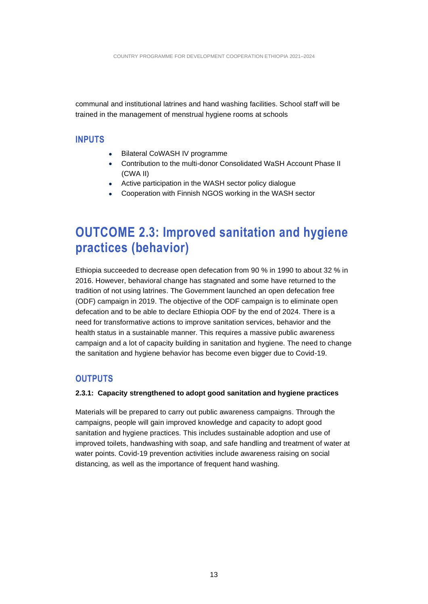communal and institutional latrines and hand washing facilities. School staff will be trained in the management of menstrual hygiene rooms at schools

#### <span id="page-12-0"></span>**INPUTS**

- Bilateral CoWASH IV programme
- Contribution to the multi-donor Consolidated WaSH Account Phase II (CWA II)
- Active participation in the WASH sector policy dialogue
- Cooperation with Finnish NGOS working in the WASH sector

### <span id="page-12-1"></span>**OUTCOME 2.3: Improved sanitation and hygiene practices (behavior)**

Ethiopia succeeded to decrease open defecation from 90 % in 1990 to about 32 % in 2016. However, behavioral change has stagnated and some have returned to the tradition of not using latrines. The Government launched an open defecation free (ODF) campaign in 2019. The objective of the ODF campaign is to eliminate open defecation and to be able to declare Ethiopia ODF by the end of 2024. There is a need for transformative actions to improve sanitation services, behavior and the health status in a sustainable manner. This requires a massive public awareness campaign and a lot of capacity building in sanitation and hygiene. The need to change the sanitation and hygiene behavior has become even bigger due to Covid-19.

### <span id="page-12-2"></span>**OUTPUTS**

#### **2.3.1: Capacity strengthened to adopt good sanitation and hygiene practices**

Materials will be prepared to carry out public awareness campaigns. Through the campaigns, people will gain improved knowledge and capacity to adopt good sanitation and hygiene practices. This includes sustainable adoption and use of improved toilets, handwashing with soap, and safe handling and treatment of water at water points. Covid-19 prevention activities include awareness raising on social distancing, as well as the importance of frequent hand washing.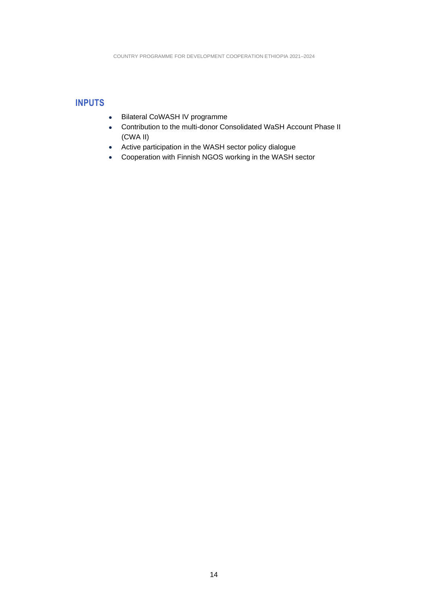### <span id="page-13-0"></span>**INPUTS**

- Bilateral CoWASH IV programme
- Contribution to the multi-donor Consolidated WaSH Account Phase II (CWA II)
- Active participation in the WASH sector policy dialogue
- Cooperation with Finnish NGOS working in the WASH sector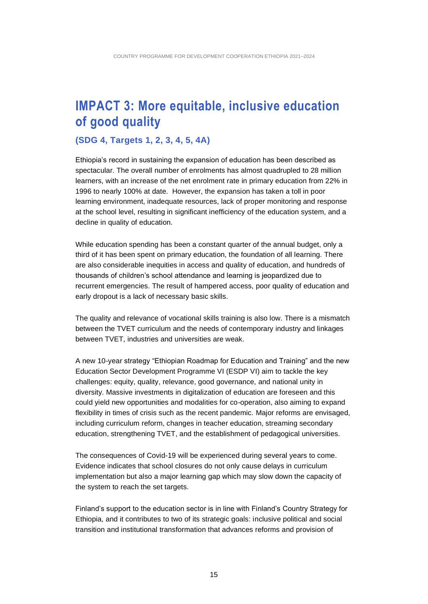### <span id="page-14-0"></span>**IMPACT 3: More equitable, inclusive education of good quality**

#### **(SDG 4, Targets 1, 2, 3, 4, 5, 4A)**

Ethiopia's record in sustaining the expansion of education has been described as spectacular. The overall number of enrolments has almost quadrupled to 28 million learners, with an increase of the net enrolment rate in primary education from 22% in 1996 to nearly 100% at date. However, the expansion has taken a toll in poor learning environment, inadequate resources, lack of proper monitoring and response at the school level, resulting in significant inefficiency of the education system, and a decline in quality of education.

While education spending has been a constant quarter of the annual budget, only a third of it has been spent on primary education, the foundation of all learning. There are also considerable inequities in access and quality of education, and hundreds of thousands of children's school attendance and learning is jeopardized due to recurrent emergencies. The result of hampered access, poor quality of education and early dropout is a lack of necessary basic skills.

The quality and relevance of vocational skills training is also low. There is a mismatch between the TVET curriculum and the needs of contemporary industry and linkages between TVET, industries and universities are weak.

A new 10-year strategy "Ethiopian Roadmap for Education and Training" and the new Education Sector Development Programme VI (ESDP VI) aim to tackle the key challenges: equity, quality, relevance, good governance, and national unity in diversity. Massive investments in digitalization of education are foreseen and this could yield new opportunities and modalities for co-operation, also aiming to expand flexibility in times of crisis such as the recent pandemic. Major reforms are envisaged, including curriculum reform, changes in teacher education, streaming secondary education, strengthening TVET, and the establishment of pedagogical universities.

The consequences of Covid-19 will be experienced during several years to come. Evidence indicates that school closures do not only cause delays in curriculum implementation but also a major learning gap which may slow down the capacity of the system to reach the set targets.

Finland's support to the education sector is in line with Finland's Country Strategy for Ethiopia, and it contributes to two of its strategic goals: inclusive political and social transition and institutional transformation that advances reforms and provision of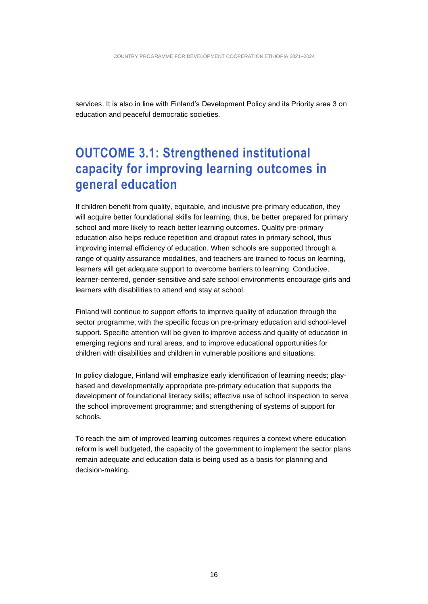services. It is also in line with Finland's Development Policy and its Priority area 3 on education and peaceful democratic societies.

### <span id="page-15-0"></span>**OUTCOME 3.1: Strengthened institutional capacity for improving learning outcomes in general education**

If children benefit from quality, equitable, and inclusive pre-primary education, they will acquire better foundational skills for learning, thus, be better prepared for primary school and more likely to reach better learning outcomes. Quality pre-primary education also helps reduce repetition and dropout rates in primary school, thus improving internal efficiency of education. When schools are supported through a range of quality assurance modalities, and teachers are trained to focus on learning, learners will get adequate support to overcome barriers to learning. Conducive, learner-centered, gender-sensitive and safe school environments encourage girls and learners with disabilities to attend and stay at school.

Finland will continue to support efforts to improve quality of education through the sector programme, with the specific focus on pre-primary education and school-level support. Specific attention will be given to improve access and quality of education in emerging regions and rural areas, and to improve educational opportunities for children with disabilities and children in vulnerable positions and situations.

In policy dialogue, Finland will emphasize early identification of learning needs; playbased and developmentally appropriate pre-primary education that supports the development of foundational literacy skills; effective use of school inspection to serve the school improvement programme; and strengthening of systems of support for schools.

To reach the aim of improved learning outcomes requires a context where education reform is well budgeted, the capacity of the government to implement the sector plans remain adequate and education data is being used as a basis for planning and decision-making.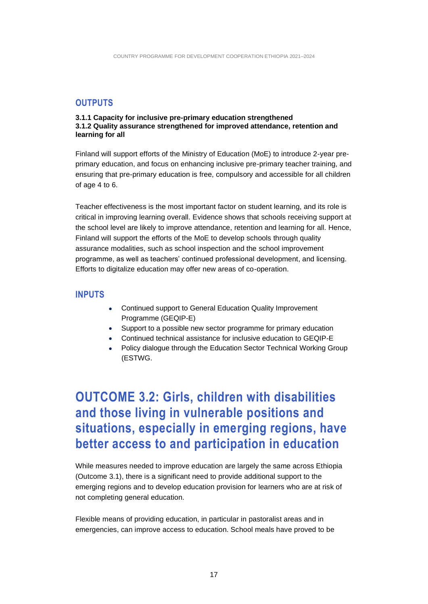### <span id="page-16-0"></span>**OUTPUTS**

#### **3.1.1 Capacity for inclusive pre-primary education strengthened 3.1.2 Quality assurance strengthened for improved attendance, retention and learning for all**

Finland will support efforts of the Ministry of Education (MoE) to introduce 2-year preprimary education, and focus on enhancing inclusive pre-primary teacher training, and ensuring that pre-primary education is free, compulsory and accessible for all children of age 4 to 6.

Teacher effectiveness is the most important factor on student learning, and its role is critical in improving learning overall. Evidence shows that schools receiving support at the school level are likely to improve attendance, retention and learning for all. Hence, Finland will support the efforts of the MoE to develop schools through quality assurance modalities, such as school inspection and the school improvement programme, as well as teachers' continued professional development, and licensing. Efforts to digitalize education may offer new areas of co-operation.

### <span id="page-16-1"></span>**INPUTS**

- Continued support to General Education Quality Improvement Programme (GEQIP-E)
- Support to a possible new sector programme for primary education
- Continued technical assistance for inclusive education to GEQIP-E
- Policy dialogue through the Education Sector Technical Working Group (ESTWG.

### <span id="page-16-2"></span>**OUTCOME 3.2: Girls, children with disabilities and those living in vulnerable positions and situations, especially in emerging regions, have better access to and participation in education**

While measures needed to improve education are largely the same across Ethiopia (Outcome 3.1), there is a significant need to provide additional support to the emerging regions and to develop education provision for learners who are at risk of not completing general education.

Flexible means of providing education, in particular in pastoralist areas and in emergencies, can improve access to education. School meals have proved to be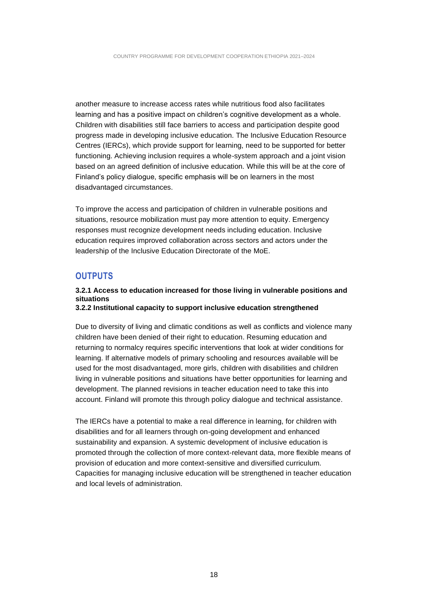another measure to increase access rates while nutritious food also facilitates learning and has a positive impact on children's cognitive development as a whole. Children with disabilities still face barriers to access and participation despite good progress made in developing inclusive education. The Inclusive Education Resource Centres (IERCs), which provide support for learning, need to be supported for better functioning. Achieving inclusion requires a whole-system approach and a joint vision based on an agreed definition of inclusive education. While this will be at the core of Finland's policy dialogue, specific emphasis will be on learners in the most disadvantaged circumstances.

To improve the access and participation of children in vulnerable positions and situations, resource mobilization must pay more attention to equity. Emergency responses must recognize development needs including education. Inclusive education requires improved collaboration across sectors and actors under the leadership of the Inclusive Education Directorate of the MoE.

#### <span id="page-17-0"></span>**OUTPUTS**

#### **3.2.1 Access to education increased for those living in vulnerable positions and situations 3.2.2 Institutional capacity to support inclusive education strengthened**

Due to diversity of living and climatic conditions as well as conflicts and violence many children have been denied of their right to education. Resuming education and returning to normalcy requires specific interventions that look at wider conditions for learning. If alternative models of primary schooling and resources available will be used for the most disadvantaged, more girls, children with disabilities and children living in vulnerable positions and situations have better opportunities for learning and development. The planned revisions in teacher education need to take this into account. Finland will promote this through policy dialogue and technical assistance.

The IERCs have a potential to make a real difference in learning, for children with disabilities and for all learners through on-going development and enhanced sustainability and expansion. A systemic development of inclusive education is promoted through the collection of more context-relevant data, more flexible means of provision of education and more context-sensitive and diversified curriculum. Capacities for managing inclusive education will be strengthened in teacher education and local levels of administration.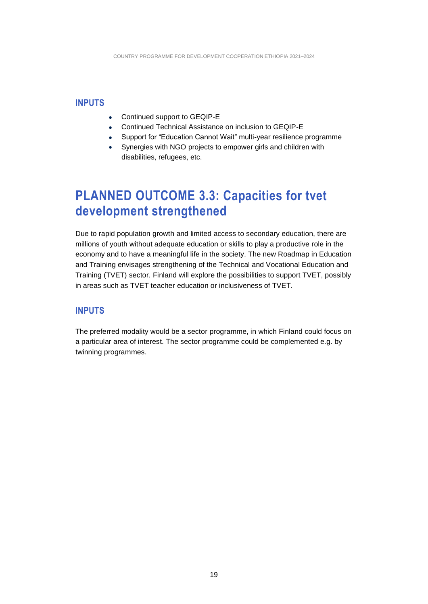### <span id="page-18-0"></span>**INPUTS**

- Continued support to GEQIP-E
- Continued Technical Assistance on inclusion to GEQIP-E
- Support for "Education Cannot Wait" multi-year resilience programme
- Synergies with NGO projects to empower girls and children with disabilities, refugees, etc.

### <span id="page-18-1"></span>**PLANNED OUTCOME 3.3: Capacities for tvet development strengthened**

Due to rapid population growth and limited access to secondary education, there are millions of youth without adequate education or skills to play a productive role in the economy and to have a meaningful life in the society. The new Roadmap in Education and Training envisages strengthening of the Technical and Vocational Education and Training (TVET) sector. Finland will explore the possibilities to support TVET, possibly in areas such as TVET teacher education or inclusiveness of TVET.

### <span id="page-18-2"></span>**INPUTS**

The preferred modality would be a sector programme, in which Finland could focus on a particular area of interest. The sector programme could be complemented e.g. by twinning programmes.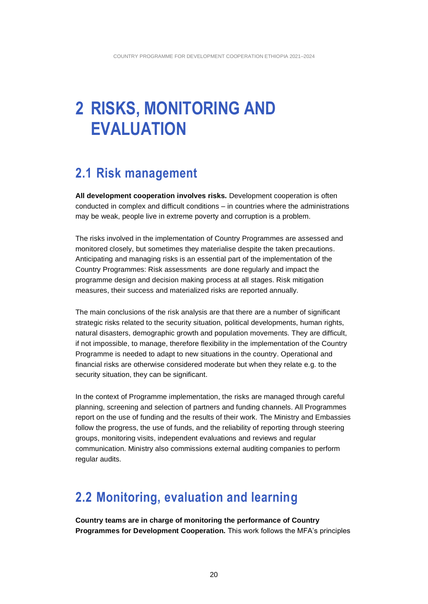## <span id="page-19-0"></span>**2 RISKS, MONITORING AND EVALUATION**

### <span id="page-19-1"></span>**2.1 Risk management**

**All development cooperation involves risks.** Development cooperation is often conducted in complex and difficult conditions – in countries where the administrations may be weak, people live in extreme poverty and corruption is a problem.

The risks involved in the implementation of Country Programmes are assessed and monitored closely, but sometimes they materialise despite the taken precautions. Anticipating and managing risks is an essential part of the implementation of the Country Programmes: Risk assessments are done regularly and impact the programme design and decision making process at all stages. Risk mitigation measures, their success and materialized risks are reported annually.

The main conclusions of the risk analysis are that there are a number of significant strategic risks related to the security situation, political developments, human rights, natural disasters, demographic growth and population movements. They are difficult, if not impossible, to manage, therefore flexibility in the implementation of the Country Programme is needed to adapt to new situations in the country. Operational and financial risks are otherwise considered moderate but when they relate e.g. to the security situation, they can be significant.

In the context of Programme implementation, the risks are managed through careful planning, screening and selection of partners and funding channels. All Programmes report on the use of funding and the results of their work. The Ministry and Embassies follow the progress, the use of funds, and the reliability of reporting through steering groups, monitoring visits, independent evaluations and reviews and regular communication. Ministry also commissions external auditing companies to perform regular audits.

### <span id="page-19-2"></span>**2.2 Monitoring, evaluation and learning**

**Country teams are in charge of monitoring the performance of Country Programmes for Development Cooperation.** This work follows the MFA's principles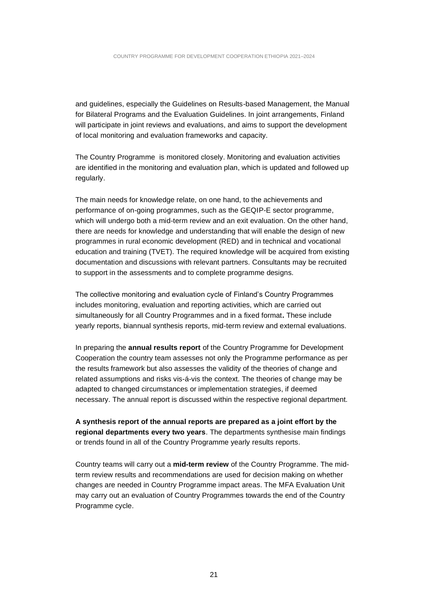and guidelines, especially the Guidelines on Results-based Management, the Manual for Bilateral Programs and the Evaluation Guidelines. In joint arrangements, Finland will participate in joint reviews and evaluations, and aims to support the development of local monitoring and evaluation frameworks and capacity.

The Country Programme is monitored closely. Monitoring and evaluation activities are identified in the monitoring and evaluation plan, which is updated and followed up regularly.

The main needs for knowledge relate, on one hand, to the achievements and performance of on-going programmes, such as the GEQIP-E sector programme, which will undergo both a mid-term review and an exit evaluation. On the other hand, there are needs for knowledge and understanding that will enable the design of new programmes in rural economic development (RED) and in technical and vocational education and training (TVET). The required knowledge will be acquired from existing documentation and discussions with relevant partners. Consultants may be recruited to support in the assessments and to complete programme designs.

The collective monitoring and evaluation cycle of Finland's Country Programmes includes monitoring, evaluation and reporting activities, which are carried out simultaneously for all Country Programmes and in a fixed format**.** These include yearly reports, biannual synthesis reports, mid-term review and external evaluations.

In preparing the **annual results report** of the Country Programme for Development Cooperation the country team assesses not only the Programme performance as per the results framework but also assesses the validity of the theories of change and related assumptions and risks vis-á-vis the context. The theories of change may be adapted to changed circumstances or implementation strategies, if deemed necessary. The annual report is discussed within the respective regional department.

**A synthesis report of the annual reports are prepared as a joint effort by the regional departments every two years**. The departments synthesise main findings or trends found in all of the Country Programme yearly results reports.

Country teams will carry out a **mid-term review** of the Country Programme. The midterm review results and recommendations are used for decision making on whether changes are needed in Country Programme impact areas. The MFA Evaluation Unit may carry out an evaluation of Country Programmes towards the end of the Country Programme cycle.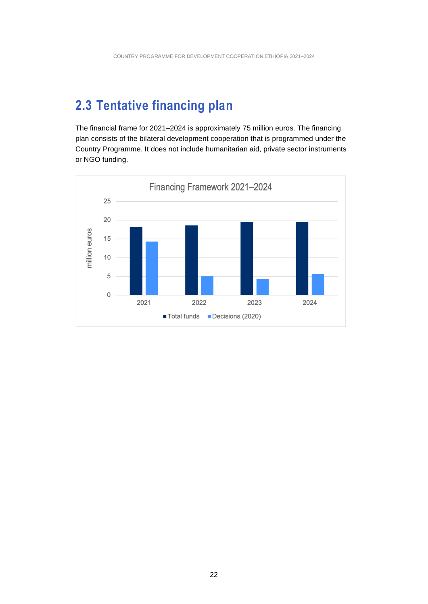### <span id="page-21-0"></span>**2.3 Tentative financing plan**

The financial frame for 2021–2024 is approximately 75 million euros. The financing plan consists of the bilateral development cooperation that is programmed under the Country Programme. It does not include humanitarian aid, private sector instruments or NGO funding.